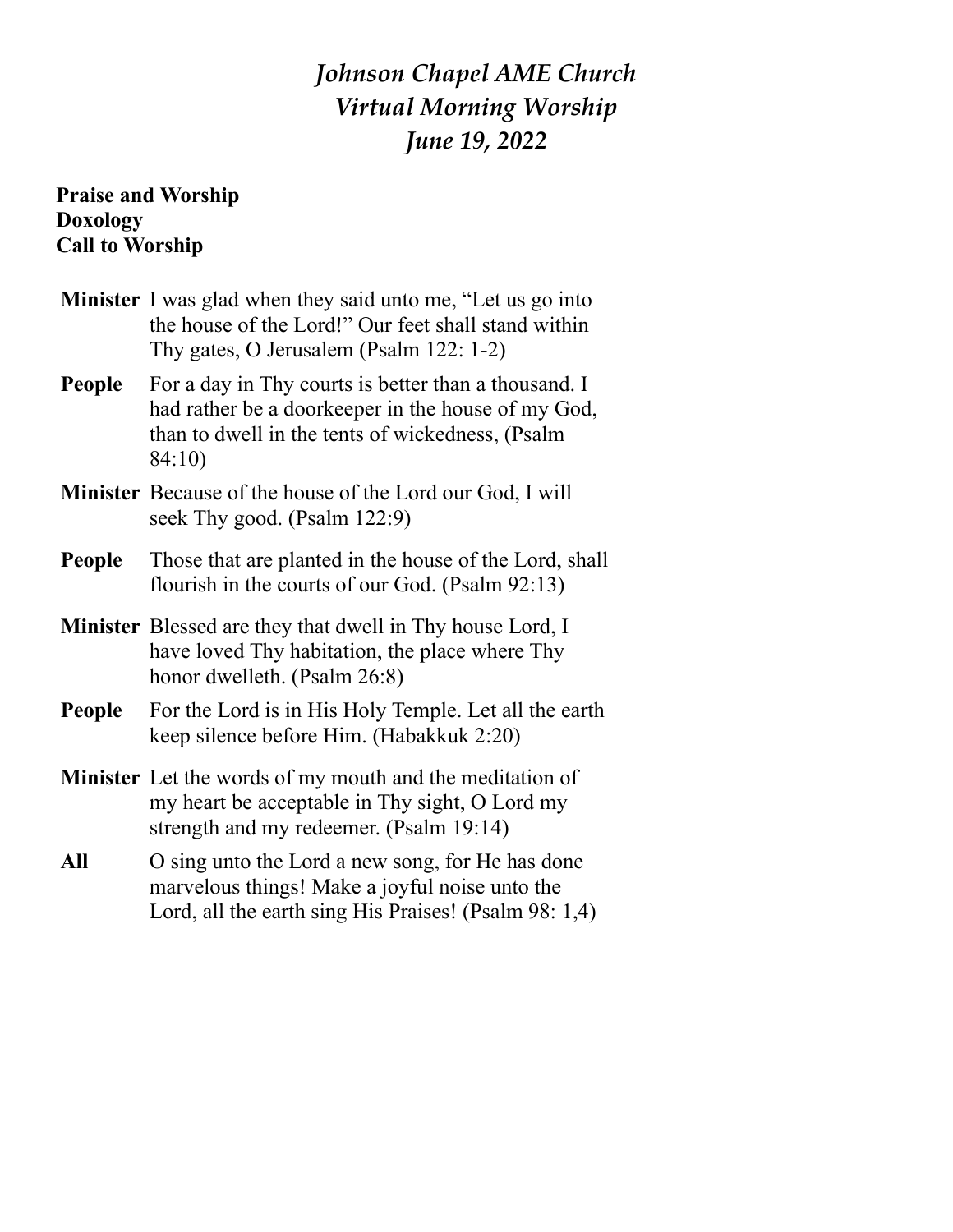# *Johnson Chapel AME Church Virtual Morning Worship June 19, 2022*

### **Praise and Worship Doxology Call to Worship**

|        | <b>Minister</b> I was glad when they said unto me, "Let us go into<br>the house of the Lord!" Our feet shall stand within<br>Thy gates, O Jerusalem (Psalm 122: 1-2)     |
|--------|--------------------------------------------------------------------------------------------------------------------------------------------------------------------------|
| People | For a day in Thy courts is better than a thousand. I<br>had rather be a doorkeeper in the house of my God,<br>than to dwell in the tents of wickedness, (Psalm<br>84:10) |
|        | <b>Minister</b> Because of the house of the Lord our God, I will<br>seek Thy good. (Psalm 122:9)                                                                         |
| People | Those that are planted in the house of the Lord, shall<br>flourish in the courts of our God. (Psalm 92:13)                                                               |
|        | <b>Minister</b> Blessed are they that dwell in Thy house Lord, I<br>have loved Thy habitation, the place where Thy<br>honor dwelleth. (Psalm 26:8)                       |
| People | For the Lord is in His Holy Temple. Let all the earth<br>keep silence before Him. (Habakkuk 2:20)                                                                        |
|        | <b>Minister</b> Let the words of my mouth and the meditation of<br>my heart be acceptable in Thy sight, O Lord my<br>strength and my redeemer. (Psalm 19:14)             |
| All    | O sing unto the Lord a new song, for He has done<br>marvelous things! Make a joyful noise unto the<br>Lord, all the earth sing His Praises! (Psalm 98: 1,4)              |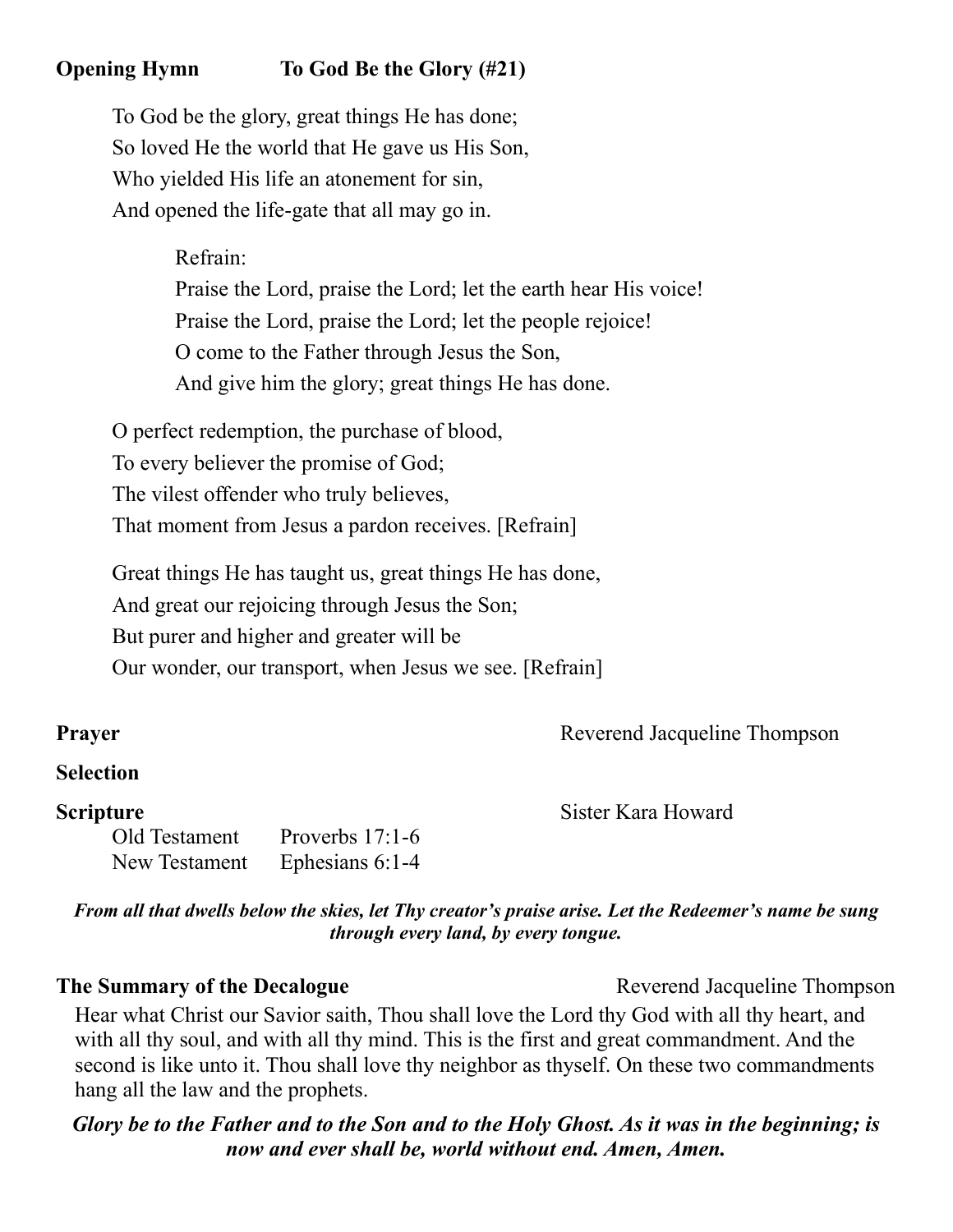## **Opening Hymn To God Be the Glory (#21)**

To God be the glory, great things He has done; So loved He the world that He gave us His Son, Who yielded His life an atonement for sin, And opened the life-gate that all may go in.

Refrain:

Praise the Lord, praise the Lord; let the earth hear His voice! Praise the Lord, praise the Lord; let the people rejoice! O come to the Father through Jesus the Son, And give him the glory; great things He has done.

O perfect redemption, the purchase of blood, To every believer the promise of God; The vilest offender who truly believes, That moment from Jesus a pardon receives. [Refrain]

Great things He has taught us, great things He has done, And great our rejoicing through Jesus the Son; But purer and higher and greater will be Our wonder, our transport, when Jesus we see. [Refrain]

**Prayer** Reverend Jacqueline Thompson

#### **Selection**

Old Testament Proverbs 17:1-6 New Testament Ephesians 6:1-4

**Scripture** Sister Kara Howard

*From all that dwells below the skies, let Thy creator's praise arise. Let the Redeemer's name be sung through every land, by every tongue.*

#### **The Summary of the Decalogue** Reverend Jacqueline Thompson

Hear what Christ our Savior saith, Thou shall love the Lord thy God with all thy heart, and

with all thy soul, and with all thy mind. This is the first and great commandment. And the second is like unto it. Thou shall love thy neighbor as thyself. On these two commandments hang all the law and the prophets.

#### *Glory be to the Father and to the Son and to the Holy Ghost. As it was in the beginning; is now and ever shall be, world without end. Amen, Amen.*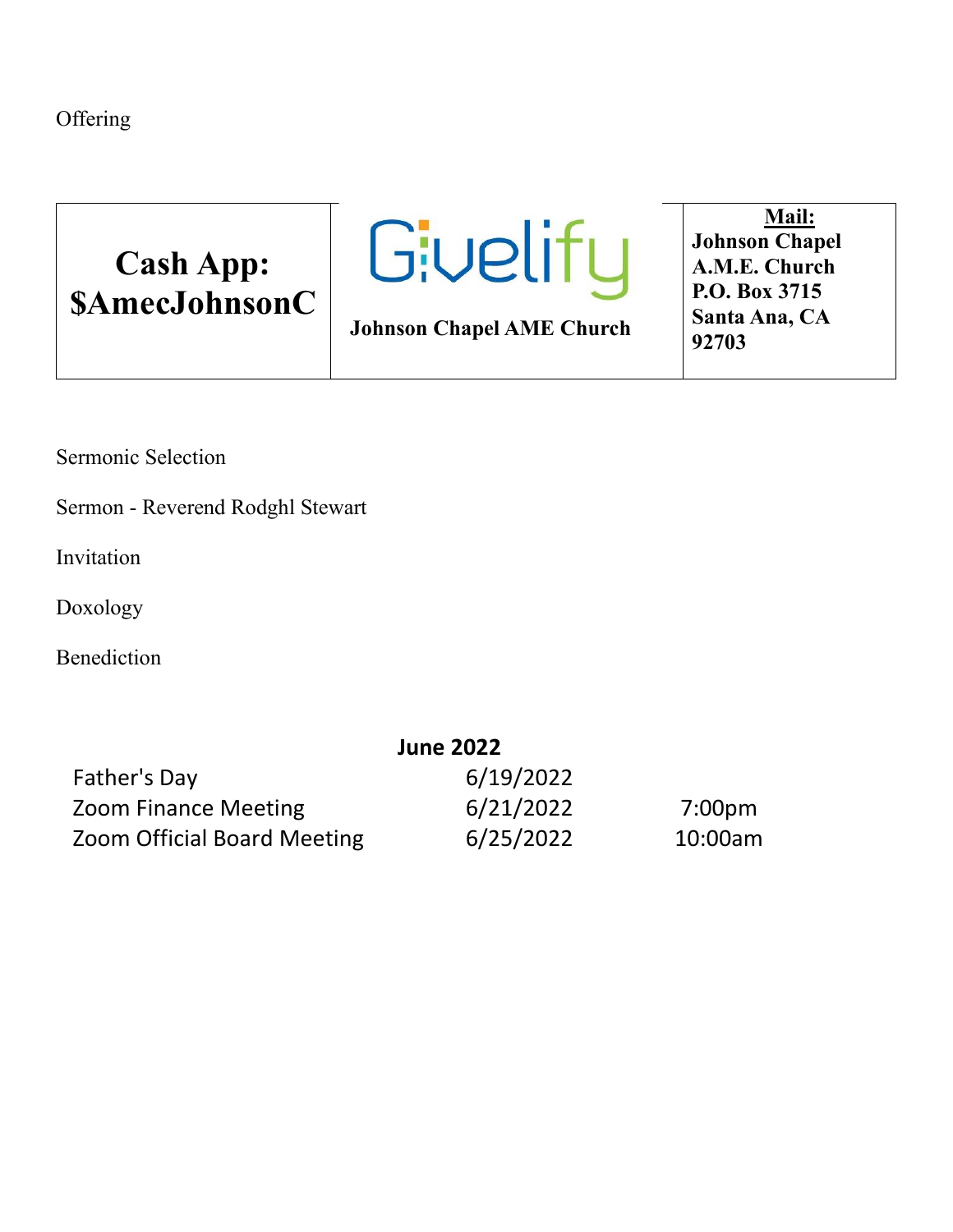**Offering** 





**Johnson Chapel AME Church**

**Mail: Johnson Chapel A.M.E. Church P.O. Box 3715 Santa Ana, CA 92703**

Sermonic Selection

Sermon - Reverend Rodghl Stewart

Invitation

Doxology

Benediction

|                                    | <b>June 2022</b> |         |
|------------------------------------|------------------|---------|
| Father's Day                       | 6/19/2022        |         |
| <b>Zoom Finance Meeting</b>        | 6/21/2022        | 7:00pm  |
| <b>Zoom Official Board Meeting</b> | 6/25/2022        | 10:00am |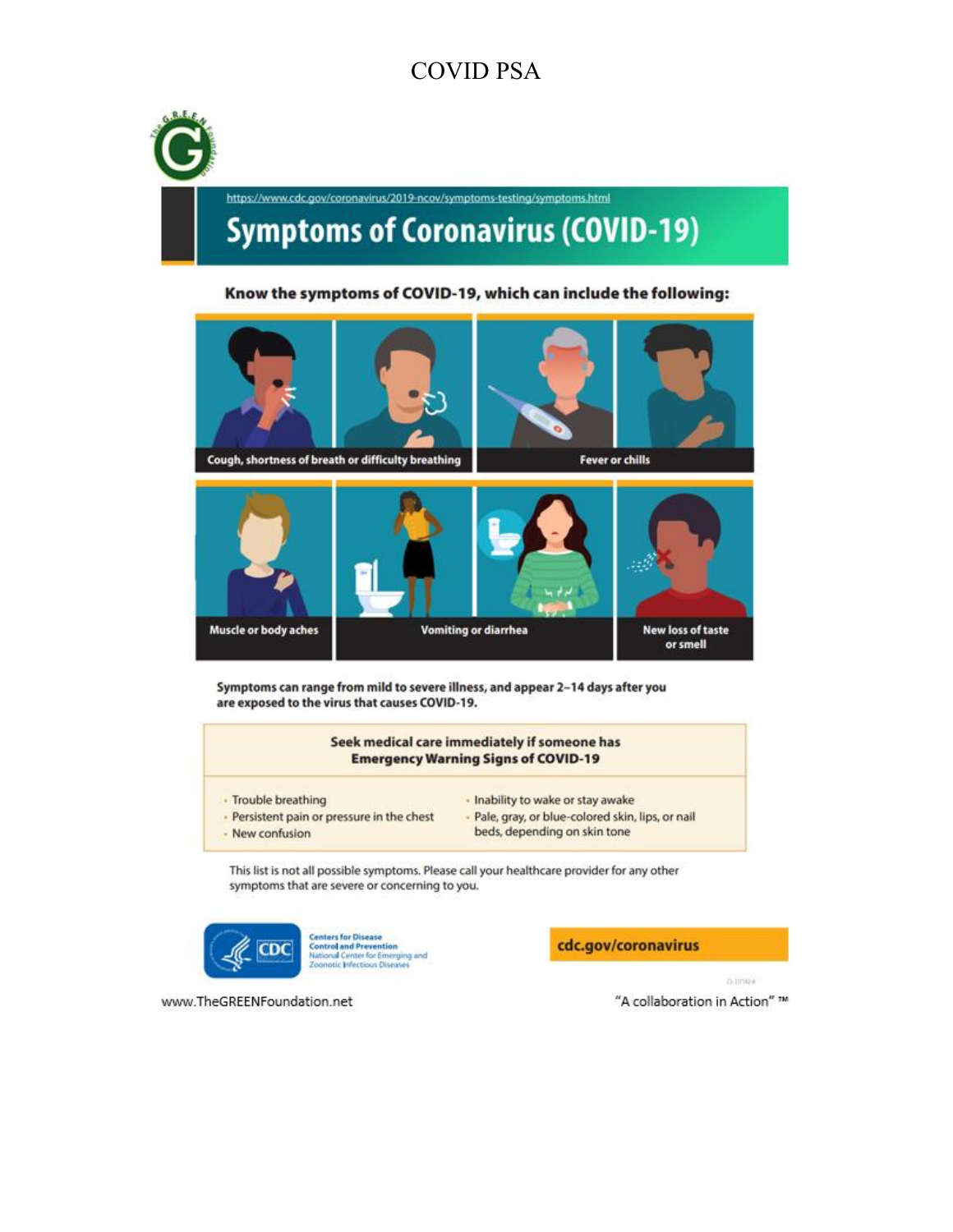# **COVID PSA**



#### Know the symptoms of COVID-19, which can include the following:



Symptoms can range from mild to severe illness, and appear 2-14 days after you are exposed to the virus that causes COVID-19.

#### Seek medical care immediately if someone has **Emergency Warning Signs of COVID-19**

· Trouble breathing

- · Inability to wake or stay awake
- · Persistent pain or pressure in the chest
- 
- 
- Pale, gray, or blue-colored skin, lips, or nail
- New confusion
- beds, depending on skin tone

This list is not all possible symptoms. Please call your healthcare provider for any other symptoms that are severe or concerning to you.



www.TheGREENFoundation.net

**Centers for Disease Control and Prevention<br>National Center for Emerging and<br>Zoonotic Infectious Diseases** 

cdc.gov/coronavirus

curries.

"A collaboration in Action" ™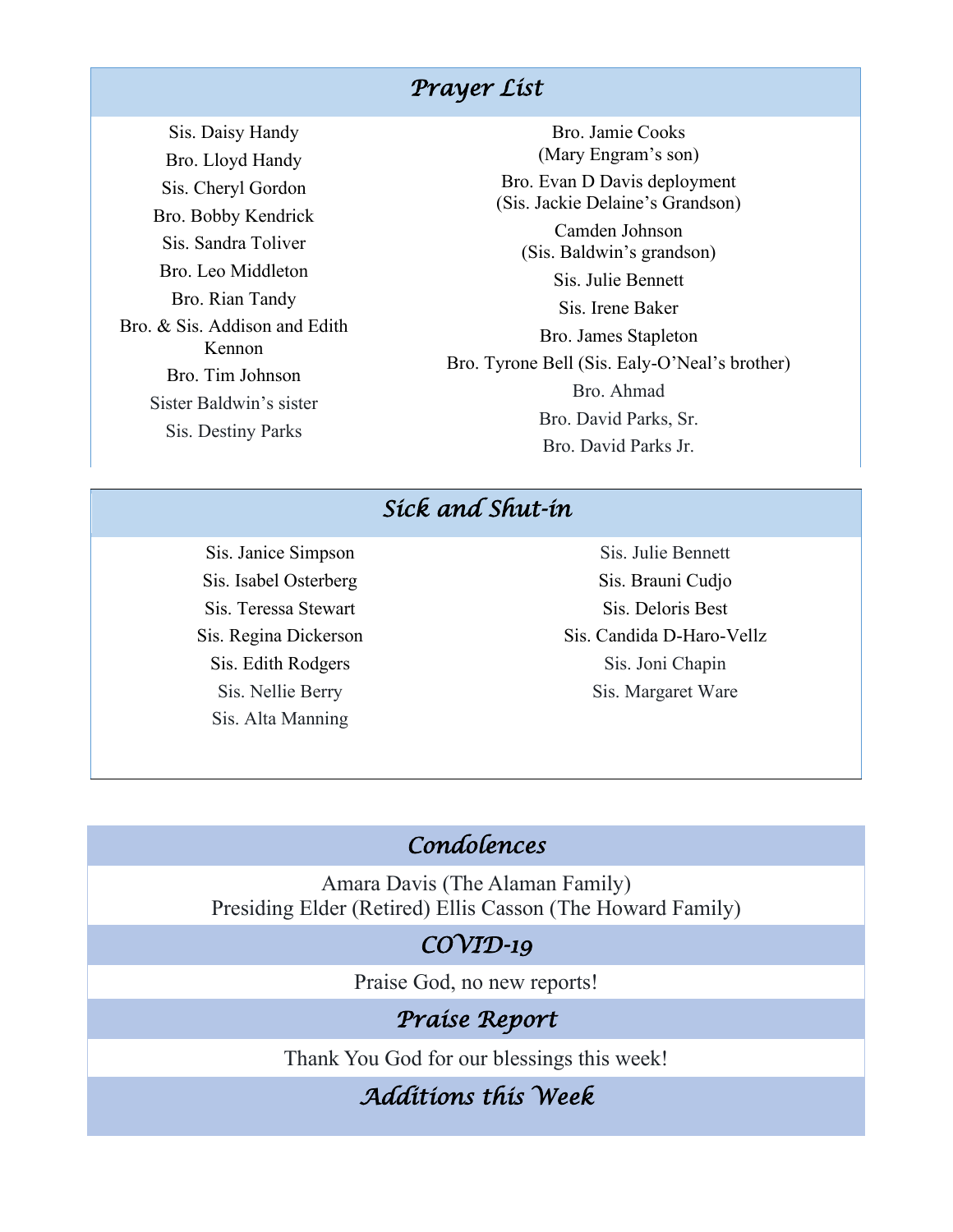#### *Prayer List*

Sis. Daisy Handy Bro. Lloyd Handy Sis. Cheryl Gordon Bro. Bobby Kendrick Sis. Sandra Toliver Bro. Leo Middleton Bro. Rian Tandy Bro. & Sis. Addison and Edith Kennon Bro. Tim Johnson Sister Baldwin's sister Sis. Destiny Parks

Bro. Jamie Cooks (Mary Engram's son) Bro. Evan D Davis deployment (Sis. Jackie Delaine's Grandson) Camden Johnson (Sis. Baldwin's grandson) Sis. Julie Bennett Sis. Irene Baker Bro. James Stapleton Bro. Tyrone Bell (Sis. Ealy-O'Neal's brother) Bro. Ahmad Bro. David Parks, Sr. Bro. David Parks Jr.

# *Sick and Shut-in*

Sis. Janice Simpson Sis. Isabel Osterberg Sis. Teressa Stewart Sis. Regina Dickerson Sis. Edith Rodgers Sis. Nellie Berry Sis. Alta Manning

Sis. Julie Bennett Sis. Brauni Cudjo Sis. Deloris Best Sis. Candida D-Haro-Vellz Sis. Joni Chapin Sis. Margaret Ware

# *Condolences*

Amara Davis (The Alaman Family) Presiding Elder (Retired) Ellis Casson (The Howard Family)

#### *COVID-19*

Praise God, no new reports!

#### *Praise Report*

Thank You God for our blessings this week!

## *Additions this Week*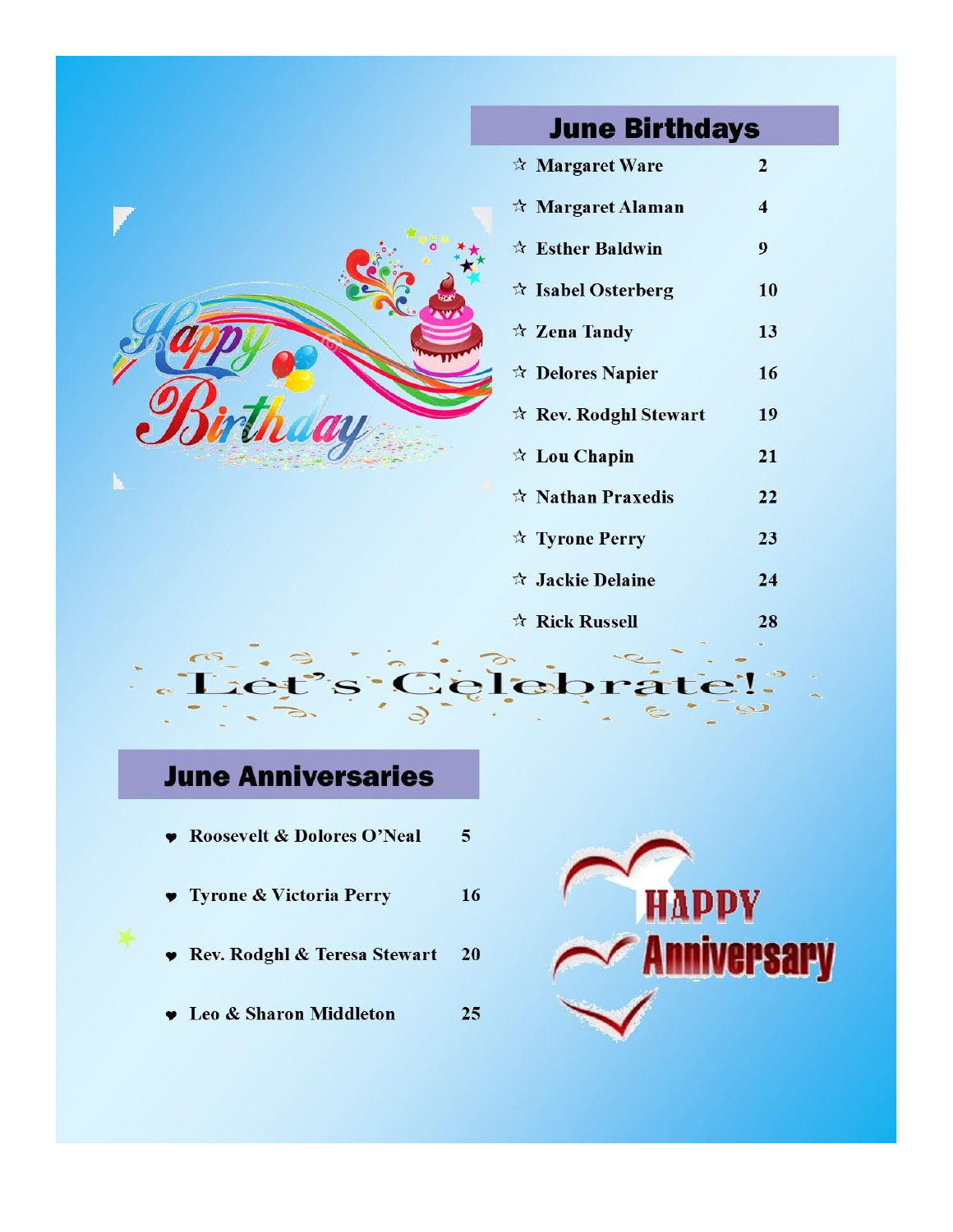| <b>June Birthdays</b>            |                         |  |
|----------------------------------|-------------------------|--|
| * Margaret Ware                  | $\overline{2}$          |  |
| * Margaret Alaman                | $\overline{\mathbf{4}}$ |  |
| ☆ Esther Baldwin                 | 9                       |  |
| <b><i>A</i></b> Isabel Osterberg | 10                      |  |
| ☆ Zena Tandy                     | 13                      |  |
| ☆ Delores Napier                 | 16                      |  |
| * Rev. Rodghl Stewart            | 19                      |  |
| ☆ Lou Chapin                     | 21                      |  |
| ☆ Nathan Praxedis                | 22                      |  |
| * Tyrone Perry                   | 23                      |  |
| <b><i>A</i></b> Jackie Delaine   | 24                      |  |
| ☆ Rick Russell                   | 28                      |  |
|                                  |                         |  |
| Gelebra                          |                         |  |
|                                  |                         |  |

25

# **June Anniversaries**

- Roosevelt & Dolores O'Neal  $\overline{5}$
- Tyrone & Victoria Perry 16
- Rev. Rodghl & Teresa Stewart 20
- **v** Leo & Sharon Middleton